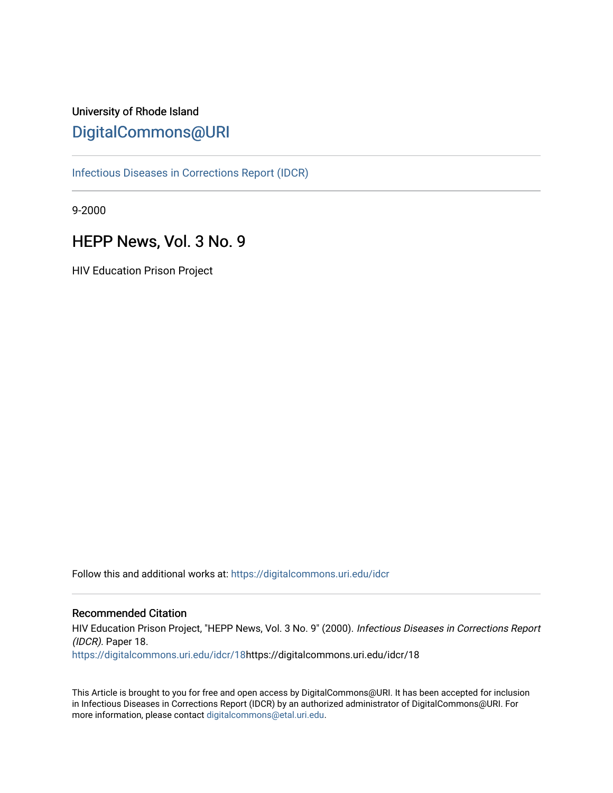# University of Rhode Island [DigitalCommons@URI](https://digitalcommons.uri.edu/)

[Infectious Diseases in Corrections Report \(IDCR\)](https://digitalcommons.uri.edu/idcr)

9-2000

# HEPP News, Vol. 3 No. 9

HIV Education Prison Project

Follow this and additional works at: [https://digitalcommons.uri.edu/idcr](https://digitalcommons.uri.edu/idcr?utm_source=digitalcommons.uri.edu%2Fidcr%2F18&utm_medium=PDF&utm_campaign=PDFCoverPages)

### Recommended Citation

HIV Education Prison Project, "HEPP News, Vol. 3 No. 9" (2000). Infectious Diseases in Corrections Report (IDCR). Paper 18. [https://digitalcommons.uri.edu/idcr/18h](https://digitalcommons.uri.edu/idcr/18?utm_source=digitalcommons.uri.edu%2Fidcr%2F18&utm_medium=PDF&utm_campaign=PDFCoverPages)ttps://digitalcommons.uri.edu/idcr/18

This Article is brought to you for free and open access by DigitalCommons@URI. It has been accepted for inclusion in Infectious Diseases in Corrections Report (IDCR) by an authorized administrator of DigitalCommons@URI. For more information, please contact [digitalcommons@etal.uri.edu.](mailto:digitalcommons@etal.uri.edu)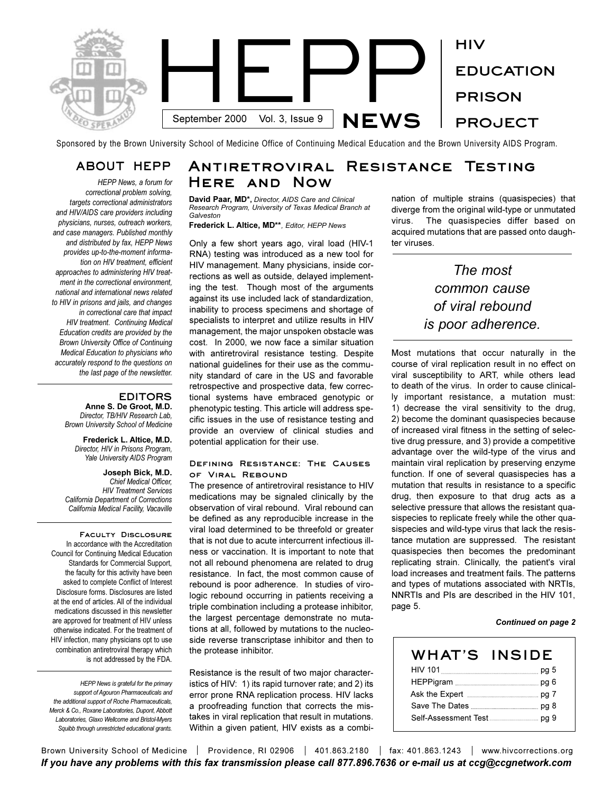

Sponsored by the Brown University School of Medicine Office of Continuing Medical Education and the Brown University AIDS Program.

## **ABOUT HEPP**

*HEPP News, a forum for correctional problem solving, targets correctional administrators and HIV/AIDS care providers including physicians, nurses, outreach workers, and case managers. Published monthly and distributed by fax, HEPP News provides up-to-the-moment information on HIV treatment, efficient approaches to administering HIV treatment in the correctional environment, national and international news related to HIV in prisons and jails, and changes in correctional care that impact HIV treatment. Continuing Medical Education credits are provided by the Brown University Office of Continuing Medical Education to physicians who accurately respond to the questions on the last page of the newsletter.* 

### **EDITORS**

**Anne S. De Groot, M.D.** *Director, TB/HIV Research Lab, Brown University School of Medicine*

**Frederick L. Altice, M.D.** *Director, HIV in Prisons Program, Yale University AIDS Program*

**Joseph Bick, M.D.** *Chief Medical Officer, HIV Treatment Services California Department of Corrections California Medical Facility, Vacaville*

**Faculty Disclosure**  In accordance with the Accreditation Council for Continuing Medical Education Standards for Commercial Support, the faculty for this activity have been asked to complete Conflict of Interest Disclosure forms. Disclosures are listed at the end of articles. All of the individual medications discussed in this newsletter are approved for treatment of HIV unless otherwise indicated. For the treatment of HIV infection, many physicians opt to use combination antiretroviral therapy which is not addressed by the FDA.

*HEPP News is grateful for the primary support of Agouron Pharmaceuticals and the additional support of Roche Pharmaceuticals, Merck & Co., Roxane Laboratories, Dupont, Abbott Laboratories, Glaxo Wellcome and Bristol-Myers Squibb through unrestricted educational grants.*

# **Antiretroviral Resistance Testing Here and Now**

**David Paar, MD\*,** *Director, AIDS Care and Clinical Research Program, University of Texas Medical Branch at Galveston*

**Frederick L. Altice, MD\*\****, Editor, HEPP News*

Only a few short years ago, viral load (HIV-1 RNA) testing was introduced as a new tool for HIV management. Many physicians, inside corrections as well as outside, delayed implementing the test. Though most of the arguments against its use included lack of standardization, inability to process specimens and shortage of specialists to interpret and utilize results in HIV management, the major unspoken obstacle was cost. In 2000, we now face a similar situation with antiretroviral resistance testing. Despite national guidelines for their use as the community standard of care in the US and favorable retrospective and prospective data, few correctional systems have embraced genotypic or phenotypic testing. This article will address specific issues in the use of resistance testing and provide an overview of clinical studies and potential application for their use.

### **Defining Resistance: The Causes of Viral Rebound**

The presence of antiretroviral resistance to HIV medications may be signaled clinically by the observation of viral rebound. Viral rebound can be defined as any reproducible increase in the viral load determined to be threefold or greater that is not due to acute intercurrent infectious illness or vaccination. It is important to note that not all rebound phenomena are related to drug resistance. In fact, the most common cause of rebound is poor adherence. In studies of virologic rebound occurring in patients receiving a triple combination including a protease inhibitor, the largest percentage demonstrate no mutations at all, followed by mutations to the nucleoside reverse transcriptase inhibitor and then to the protease inhibitor.

Resistance is the result of two major characteristics of HIV: 1) its rapid turnover rate; and 2) its error prone RNA replication process. HIV lacks a proofreading function that corrects the mistakes in viral replication that result in mutations. Within a given patient, HIV exists as a combination of multiple strains (quasispecies) that diverge from the original wild-type or unmutated virus. The quasispecies differ based on acquired mutations that are passed onto daughter viruses.

# *The most common cause of viral rebound is poor adherence.*

Most mutations that occur naturally in the course of viral replication result in no effect on viral susceptibility to ART, while others lead to death of the virus. In order to cause clinically important resistance, a mutation must: 1) decrease the viral sensitivity to the drug, 2) become the dominant quasispecies because of increased viral fitness in the setting of selective drug pressure, and 3) provide a competitive advantage over the wild-type of the virus and maintain viral replication by preserving enzyme function. If one of several quasispecies has a mutation that results in resistance to a specific drug, then exposure to that drug acts as a selective pressure that allows the resistant quasispecies to replicate freely while the other quasispecies and wild-type virus that lack the resistance mutation are suppressed. The resistant quasispecies then becomes the predominant replicating strain. Clinically, the patient's viral load increases and treatment fails. The patterns and types of mutations associated with NRTIs, NNRTIs and PIs are described in the HIV 101, page 5.

### *Continued on page 2*

| WHAT'S | <b>INSIDE</b> |
|--------|---------------|
|        |               |
|        |               |
|        |               |
|        |               |
|        |               |

Brown University School of Medicine | Providence, RI 02906 | 401.863.2180 | fax: 401.863.1243 | www.hivcorrections.org *If you have any problems with this fax transmission please call 877.896.7636 or e-mail us at ccg@ccgnetwork.com*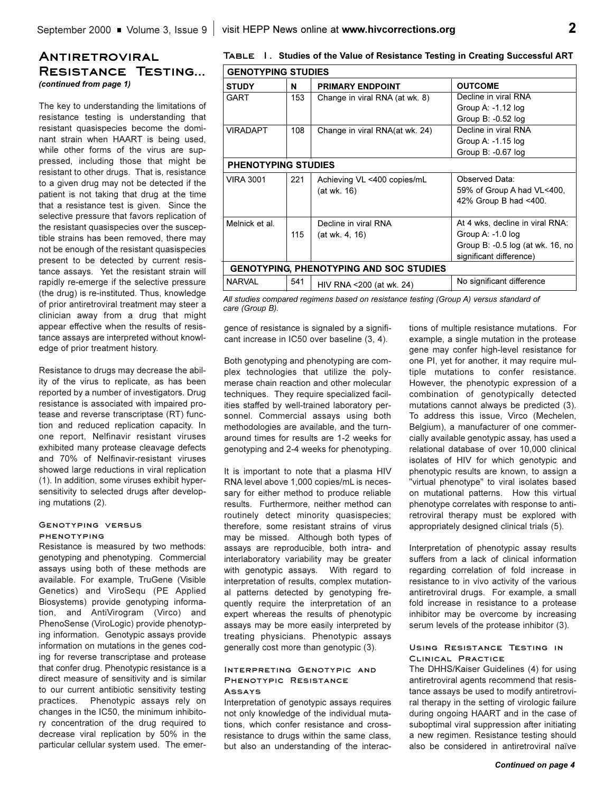## **Antiretroviral Resistance Testing...**  *(continued from page 1)*

The key to understanding the limitations of resistance testing is understanding that resistant quasispecies become the dominant strain when HAART is being used, while other forms of the virus are suppressed, including those that might be resistant to other drugs. That is, resistance to a given drug may not be detected if the patient is not taking that drug at the time that a resistance test is given. Since the selective pressure that favors replication of the resistant quasispecies over the susceptible strains has been removed, there may not be enough of the resistant quasispecies present to be detected by current resistance assays. Yet the resistant strain will rapidly re-emerge if the selective pressure (the drug) is re-instituted. Thus, knowledge of prior antiretroviral treatment may steer a clinician away from a drug that might appear effective when the results of resistance assays are interpreted without knowledge of prior treatment history.

Resistance to drugs may decrease the ability of the virus to replicate, as has been reported by a number of investigators. Drug resistance is associated with impaired protease and reverse transcriptase (RT) function and reduced replication capacity. In one report, Nelfinavir resistant viruses exhibited many protease cleavage defects and 70% of Nelfinavir-resistant viruses showed large reductions in viral replication (1). In addition, some viruses exhibit hypersensitivity to selected drugs after developing mutations (2).

### **Genotyping versus phenotyping**

Resistance is measured by two methods: genotyping and phenotyping. Commercial assays using both of these methods are available. For example, TruGene (Visible Genetics) and ViroSequ (PE Applied Biosystems) provide genotyping information, and AntiVirogram (Virco) and PhenoSense (ViroLogic) provide phenotyping information. Genotypic assays provide information on mutations in the genes coding for reverse transcriptase and protease that confer drug. Phenotypic resistance is a direct measure of sensitivity and is similar to our current antibiotic sensitivity testing practices. Phenotypic assays rely on changes in the IC50, the minimum inhibitory concentration of the drug required to decrease viral replication by 50% in the particular cellular system used. The emer-

|  | TABLE I. Studies of the Value of Resistance Testing in Creating Successful ART |
|--|--------------------------------------------------------------------------------|
|  | -------------------                                                            |

| <b>GENOTYPING STUDIES</b>                                                                             |     |                                                |                                  |  |  |  |  |
|-------------------------------------------------------------------------------------------------------|-----|------------------------------------------------|----------------------------------|--|--|--|--|
| <b>STUDY</b>                                                                                          | N   | <b>PRIMARY ENDPOINT</b>                        | <b>OUTCOME</b>                   |  |  |  |  |
| GART                                                                                                  | 153 | Change in viral RNA (at wk. 8)                 | Decline in viral RNA             |  |  |  |  |
|                                                                                                       |     |                                                | Group A: $-1.12$ log             |  |  |  |  |
|                                                                                                       |     |                                                | Group B: -0.52 log               |  |  |  |  |
| VIRADAPT                                                                                              | 108 | Change in viral RNA(at wk. 24)                 | Decline in viral RNA             |  |  |  |  |
|                                                                                                       |     |                                                | Group A: $-1.15$ log             |  |  |  |  |
|                                                                                                       |     |                                                | Group B: -0.67 log               |  |  |  |  |
| <b>PHENOTYPING STUDIES</b>                                                                            |     |                                                |                                  |  |  |  |  |
| VIRA 3001                                                                                             | 221 | Achieving VL <400 copies/mL                    | Observed Data:                   |  |  |  |  |
|                                                                                                       |     | (at wk. 16)                                    | 59% of Group A had VL<400,       |  |  |  |  |
|                                                                                                       |     |                                                | 42% Group B had <400.            |  |  |  |  |
| Melnick et al.                                                                                        |     | Decline in viral RNA                           | At 4 wks, decline in viral RNA:  |  |  |  |  |
|                                                                                                       | 115 | (at wk. 4, 16)                                 | Group A: -1.0 log                |  |  |  |  |
|                                                                                                       |     |                                                | Group B: -0.5 log (at wk. 16, no |  |  |  |  |
|                                                                                                       |     |                                                | significant difference)          |  |  |  |  |
|                                                                                                       |     | <b>GENOTYPING, PHENOTYPING AND SOC STUDIES</b> |                                  |  |  |  |  |
| <b>NARVAL</b>                                                                                         | 541 | HIV RNA < 200 (at wk. 24)                      | No significant difference        |  |  |  |  |
| All studies associated the state of the self-consistence of states. (Our second) consistent of $\ell$ |     |                                                |                                  |  |  |  |  |

*All studies compared regimens based on resistance testing (Group A) versus standard of care (Group B).*

gence of resistance is signaled by a significant increase in IC50 over baseline (3, 4).

Both genotyping and phenotyping are complex technologies that utilize the polymerase chain reaction and other molecular techniques. They require specialized facilities staffed by well-trained laboratory personnel. Commercial assays using both methodologies are available, and the turnaround times for results are 1-2 weeks for genotyping and 2-4 weeks for phenotyping.

It is important to note that a plasma HIV RNA level above 1,000 copies/mL is necessary for either method to produce reliable results. Furthermore, neither method can routinely detect minority quasispecies; therefore, some resistant strains of virus may be missed. Although both types of assays are reproducible, both intra- and interlaboratory variability may be greater with genotypic assays. With regard to interpretation of results, complex mutational patterns detected by genotyping frequently require the interpretation of an expert whereas the results of phenotypic assays may be more easily interpreted by treating physicians. Phenotypic assays generally cost more than genotypic (3).

### **Interpreting Genotypic and Phenotypic Resistance Assays**

Interpretation of genotypic assays requires not only knowledge of the individual mutations, which confer resistance and crossresistance to drugs within the same class, but also an understanding of the interactions of multiple resistance mutations. For example, a single mutation in the protease gene may confer high-level resistance for one PI, yet for another, it may require multiple mutations to confer resistance. However, the phenotypic expression of a combination of genotypically detected mutations cannot always be predicted (3). To address this issue, Virco (Mechelen, Belgium), a manufacturer of one commercially available genotypic assay, has used a relational database of over 10,000 clinical isolates of HIV for which genotypic and phenotypic results are known, to assign a "virtual phenotype" to viral isolates based on mutational patterns. How this virtual phenotype correlates with response to antiretroviral therapy must be explored with appropriately designed clinical trials (5).

Interpretation of phenotypic assay results suffers from a lack of clinical information regarding correlation of fold increase in resistance to in vivo activity of the various antiretroviral drugs. For example, a small fold increase in resistance to a protease inhibitor may be overcome by increasing serum levels of the protease inhibitor (3).

### **Using Resistance Testing in Clinical Practice**

The DHHS/Kaiser Guidelines (4) for using antiretroviral agents recommend that resistance assays be used to modify antiretroviral therapy in the setting of virologic failure during ongoing HAART and in the case of suboptimal viral suppression after initiating a new regimen. Resistance testing should also be considered in antiretroviral naïve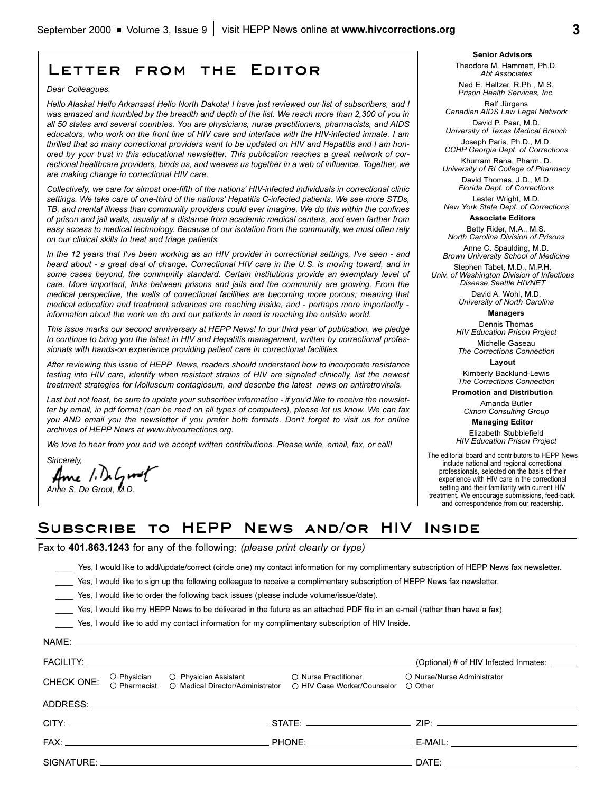# **Letter from the Editor**

*Dear Colleagues,*

*Hello Alaska! Hello Arkansas! Hello North Dakota! I have just reviewed our list of subscribers, and I was amazed and humbled by the breadth and depth of the list. We reach more than 2,300 of you in all 50 states and several countries. You are physicians, nurse practitioners, pharmacists, and AIDS educators, who work on the front line of HIV care and interface with the HIV-infected inmate. I am thrilled that so many correctional providers want to be updated on HIV and Hepatitis and I am honored by your trust in this educational newsletter. This publication reaches a great network of correctional healthcare providers, binds us, and weaves us together in a web of influence. Together, we are making change in correctional HIV care.*

*Collectively, we care for almost one-fifth of the nations' HIV-infected individuals in correctional clinic settings. We take care of one-third of the nations' Hepatitis C-infected patients. We see more STDs, TB, and mental illness than community providers could ever imagine. We do this within the confines of prison and jail walls, usually at a distance from academic medical centers, and even farther from easy access to medical technology. Because of our isolation from the community, we must often rely on our clinical skills to treat and triage patients.*

*In the 12 years that I've been working as an HIV provider in correctional settings, I've seen - and heard about - a great deal of change. Correctional HIV care in the U.S. is moving toward, and in some cases beyond, the community standard. Certain institutions provide an exemplary level of care. More important, links between prisons and jails and the community are growing. From the medical perspective, the walls of correctional facilities are becoming more porous; meaning that medical education and treatment advances are reaching inside, and - perhaps more importantly information about the work we do and our patients in need is reaching the outside world.* 

*This issue marks our second anniversary at HEPP News! In our third year of publication, we pledge to continue to bring you the latest in HIV and Hepatitis management, written by correctional professionals with hands-on experience providing patient care in correctional facilities.*

*After reviewing this issue of HEPP News, readers should understand how to incorporate resistance testing into HIV care, identify when resistant strains of HIV are signaled clinically, list the newest treatment strategies for Molluscum contagiosum, and describe the latest news on antiretrovirals.*

*Last but not least, be sure to update your subscriber information - if you'd like to receive the newsletter by email, in pdf format (can be read on all types of computers), please let us know. We can fax you AND email you the newsletter if you prefer both formats. Dont forget to visit us for online archives of HEPP News at www.hivcorrections.org.*

*We love to hear from you and we accept written contributions. Please write, email, fax, or call!*

*Sincerely, Anne S. De Groot, M.D.*

**Senior Advisors** Theodore M. Hammett, Ph.D. *Abt Associates*

Ned E. Heltzer, R.Ph., M.S. *Prison Health Services, Inc.*

Ralf Jürgens *Canadian AIDS Law Legal Network* David P. Paar, M.D.

*University of Texas Medical Branch* Joseph Paris, Ph.D., M.D.

*CCHP Georgia Dept. of Corrections*  Khurram Rana, Pharm. D.

*University of RI College of Pharmacy* David Thomas, J.D., M.D. *Florida Dept. of Corrections*

Lester Wright, M.D. *New York State Dept. of Corrections*

**Associate Editors**

Betty Rider, M.A., M.S. *North Carolina Division of Prisons*

Anne C. Spaulding, M.D. *Brown University School of Medicine* Stephen Tabet, M.D., M.P.H.

*Univ. of Washington Division of Infectious Disease Seattle HIVNET*

> David A. Wohl, M.D. *University of North Carolina*

> > **Managers**

Dennis Thomas *HIV Education Prison Project*

Michelle Gaseau *The Corrections Connection*

**Layout** Kimberly Backlund-Lewis

*The Corrections Connection*

**Promotion and Distribution**

Amanda Butler *Cimon Consulting Group*

**Managing Editor** 

Elizabeth Stubblefield *HIV Education Prison Project*

The editorial board and contributors to HEPP News include national and regional correctional professionals, selected on the basis of their experience with HIV care in the correctional setting and their familiarity with current HIV treatment. We encourage submissions, feed-back, and correspondence from our readership.

## **Subscribe to HEPP News and/or HIV Inside**

Fax to **401.863.1243** for any of the following: *(please print clearly or type)*

\_\_\_\_ Yes, I would like to add/update/correct (circle one) my contact information for my complimentary subscription of HEPP News fax newsletter.

Yes, I would like to sign up the following colleague to receive a complimentary subscription of HEPP News fax newsletter.

\_\_\_\_ Yes, I would like to order the following back issues (please include volume/issue/date).

\_\_\_\_ Yes, I would like my HEPP News to be delivered in the future as an attached PDF file in an e-mail (rather than have a fax).

\_\_\_\_ Yes, I would like to add my contact information for my complimentary subscription of HIV Inside.

|            |                                                                                    |                                                     | (Optional) # of HIV Infected Inmates: ______                                                                                                                                                                                   |
|------------|------------------------------------------------------------------------------------|-----------------------------------------------------|--------------------------------------------------------------------------------------------------------------------------------------------------------------------------------------------------------------------------------|
| CHECK ONE: | O Physician O Physician Assistant<br>O Pharmacist O Medical Director/Administrator | ◯ Nurse Practitioner<br>○ HIV Case Worker/Counselor | O Nurse/Nurse Administrator<br>○ Other                                                                                                                                                                                         |
|            | ADDRESS: ADDRESS:                                                                  |                                                     |                                                                                                                                                                                                                                |
|            |                                                                                    |                                                     |                                                                                                                                                                                                                                |
|            |                                                                                    |                                                     | E-MAIL: The contract of the contract of the contract of the contract of the contract of the contract of the contract of the contract of the contract of the contract of the contract of the contract of the contract of the co |
|            |                                                                                    |                                                     | DATE: the contract of the contract of the contract of the contract of the contract of the contract of the contract of the contract of the contract of the contract of the contract of the contract of the contract of the cont |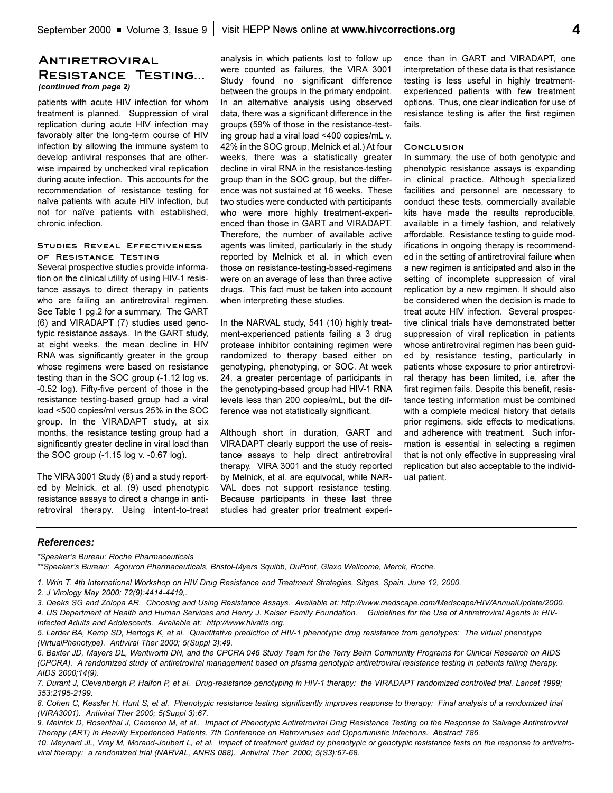### **Antiretroviral Resistance Testing...**  *(continued from page 2)*

patients with acute HIV infection for whom treatment is planned. Suppression of viral replication during acute HIV infection may favorably alter the long-term course of HIV infection by allowing the immune system to develop antiviral responses that are otherwise impaired by unchecked viral replication during acute infection. This accounts for the recommendation of resistance testing for naïve patients with acute HIV infection, but not for naïve patients with established, chronic infection.

### **Studies Reveal Effectiveness of Resistance Testing**

Several prospective studies provide information on the clinical utility of using HIV-1 resistance assays to direct therapy in patients who are failing an antiretroviral regimen. See Table 1 pg.2 for a summary. The GART (6) and VIRADAPT (7) studies used genotypic resistance assays. In the GART study, at eight weeks, the mean decline in HIV RNA was significantly greater in the group whose regimens were based on resistance testing than in the SOC group (-1.12 log vs. -0.52 log). Fifty-five percent of those in the resistance testing-based group had a viral load <500 copies/ml versus 25% in the SOC group. In the VIRADAPT study, at six months, the resistance testing group had a significantly greater decline in viral load than the SOC group (-1.15 log v. -0.67 log).

The VIRA 3001 Study (8) and a study reported by Melnick, et al. (9) used phenotypic resistance assays to direct a change in antiretroviral therapy. Using intent-to-treat

analysis in which patients lost to follow up were counted as failures, the VIRA 3001 Study found no significant difference between the groups in the primary endpoint. In an alternative analysis using observed data, there was a significant difference in the groups (59% of those in the resistance-testing group had a viral load <400 copies/mL v. 42% in the SOC group, Melnick et al.) At four weeks, there was a statistically greater decline in viral RNA in the resistance-testing group than in the SOC group, but the difference was not sustained at 16 weeks. These two studies were conducted with participants who were more highly treatment-experienced than those in GART and VIRADAPT. Therefore, the number of available active agents was limited, particularly in the study reported by Melnick et al. in which even those on resistance-testing-based-regimens were on an average of less than three active drugs. This fact must be taken into account when interpreting these studies.

In the NARVAL study, 541 (10) highly treatment-experienced patients failing a 3 drug protease inhibitor containing regimen were randomized to therapy based either on genotyping, phenotyping, or SOC. At week 24, a greater percentage of participants in the genotyping-based group had HIV-1 RNA levels less than 200 copies/mL, but the difference was not statistically significant.

Although short in duration, GART and VIRADAPT clearly support the use of resistance assays to help direct antiretroviral therapy. VIRA 3001 and the study reported by Melnick, et al. are equivocal, while NAR-VAL does not support resistance testing. Because participants in these last three studies had greater prior treatment experi-

ence than in GART and VIRADAPT, one interpretation of these data is that resistance testing is less useful in highly treatmentexperienced patients with few treatment options. Thus, one clear indication for use of resistance testing is after the first regimen fails.

### **Conclusion**

In summary, the use of both genotypic and phenotypic resistance assays is expanding in clinical practice. Although specialized facilities and personnel are necessary to conduct these tests, commercially available kits have made the results reproducible, available in a timely fashion, and relatively affordable. Resistance testing to guide modifications in ongoing therapy is recommended in the setting of antiretroviral failure when a new regimen is anticipated and also in the setting of incomplete suppression of viral replication by a new regimen. It should also be considered when the decision is made to treat acute HIV infection. Several prospective clinical trials have demonstrated better suppression of viral replication in patients whose antiretroviral regimen has been guided by resistance testing, particularly in patients whose exposure to prior antiretroviral therapy has been limited, i.e. after the first regimen fails. Despite this benefit, resistance testing information must be combined with a complete medical history that details prior regimens, side effects to medications, and adherence with treatment. Such information is essential in selecting a regimen that is not only effective in suppressing viral replication but also acceptable to the individual patient.

### *References:*

*\*Speakers Bureau: Roche Pharmaceuticals*

\*\*Speaker's Bureau: Agouron Pharmaceuticals, Bristol-Myers Squibb, DuPont, Glaxo Wellcome, Merck, Roche.

- *1. Wrin T. 4th International Workshop on HIV Drug Resistance and Treatment Strategies, Sitges, Spain, June 12, 2000.*
- *2. J Virology May 2000; 72(9):4414-4419,.*

*3. Deeks SG and Zolopa AR. Choosing and Using Resistance Assays. Available at: http://www.medscape.com/Medscape/HIV/AnnualUpdate/2000. 4. US Department of Health and Human Services and Henry J. Kaiser Family Foundation. Guidelines for the Use of Antiretroviral Agents in HIV-Infected Adults and Adolescents. Available at: http://www.hivatis.org.*

*6. Baxter JD, Mayers DL, Wentworth DN, and the CPCRA 046 Study Team for the Terry Beirn Community Programs for Clinical Research on AIDS (CPCRA). A randomized study of antiretroviral management based on plasma genotypic antiretroviral resistance testing in patients failing therapy. AIDS 2000;14(9).*

*8. Cohen C, Kessler H, Hunt S, et al. Phenotypic resistance testing significantly improves response to therapy: Final analysis of a randomized trial (VIRA3001). Antiviral Ther 2000; 5(Suppl 3):67.*

*9. Melnick D, Rosenthal J, Cameron M, et al.. Impact of Phenotypic Antiretroviral Drug Resistance Testing on the Response to Salvage Antiretroviral Therapy (ART) in Heavily Experienced Patients. 7th Conference on Retroviruses and Opportunistic Infections. Abstract 786.*

*10. Meynard JL, Vray M, Morand-Joubert L, et al. Impact of treatment guided by phenotypic or genotypic resistance tests on the response to antiretroviral therapy: a randomized trial (NARVAL, ANRS 088). Antiviral Ther 2000; 5(S3):67-68.*

*<sup>5.</sup> Larder BA, Kemp SD, Hertogs K, et al. Quantitative prediction of HIV-1 phenotypic drug resistance from genotypes: The virtual phenotype (VirtualPhenotype). Antiviral Ther 2000; 5(Suppl 3):49.*

*<sup>7.</sup> Durant J, Clevenbergh P, Halfon P, et al. Drug-resistance genotyping in HIV-1 therapy: the VIRADAPT randomized controlled trial. Lancet 1999; 353:2195-2199.*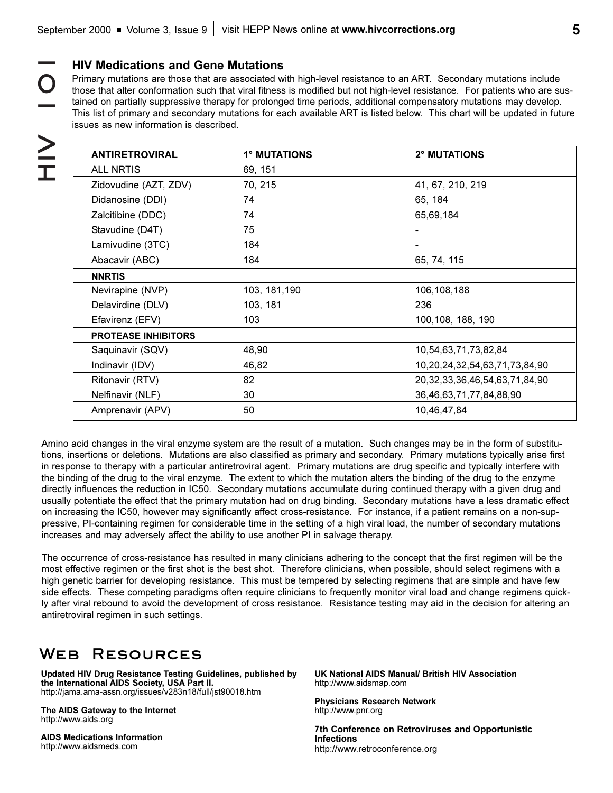**HOI】NHI**  $\bigcap$  $\ge$ 

## **HIV Medications and Gene Mutations**

Primary mutations are those that are associated with high-level resistance to an ART. Secondary mutations include those that alter conformation such that viral fitness is modified but not high-level resistance. For patients who are sustained on partially suppressive therapy for prolonged time periods, additional compensatory mutations may develop. This list of primary and secondary mutations for each available ART is listed below. This chart will be updated in future issues as new information is described.

| <b>ANTIRETROVIRAL</b>      | 1° MUTATIONS  | 2° MUTATIONS                           |
|----------------------------|---------------|----------------------------------------|
| <b>ALL NRTIS</b>           | 69, 151       |                                        |
| Zidovudine (AZT, ZDV)      | 70, 215       | 41, 67, 210, 219                       |
| Didanosine (DDI)           | 74            | 65, 184                                |
| Zalcitibine (DDC)          | 74            | 65,69,184                              |
| Stavudine (D4T)            | 75            | -                                      |
| Lamivudine (3TC)           | 184           | ۰                                      |
| Abacavir (ABC)             | 184           | 65, 74, 115                            |
| <b>NNRTIS</b>              |               |                                        |
| Nevirapine (NVP)           | 103, 181, 190 | 106,108,188                            |
| Delavirdine (DLV)          | 103, 181      | 236                                    |
| Efavirenz (EFV)            | 103           | 100,108, 188, 190                      |
| <b>PROTEASE INHIBITORS</b> |               |                                        |
| Saquinavir (SQV)           | 48,90         | 10,54,63,71,73,82,84                   |
| Indinavir (IDV)            | 46,82         | 10,20,24,32,54,63,71,73,84,90          |
| Ritonavir (RTV)            | 82            | 20, 32, 33, 36, 46, 54, 63, 71, 84, 90 |
| Nelfinavir (NLF)           | 30            | 36,46,63,71,77,84,88,90                |
| Amprenavir (APV)           | 50            | 10,46,47,84                            |
|                            |               |                                        |

Amino acid changes in the viral enzyme system are the result of a mutation. Such changes may be in the form of substitutions, insertions or deletions. Mutations are also classified as primary and secondary. Primary mutations typically arise first in response to therapy with a particular antiretroviral agent. Primary mutations are drug specific and typically interfere with the binding of the drug to the viral enzyme. The extent to which the mutation alters the binding of the drug to the enzyme directly influences the reduction in IC50. Secondary mutations accumulate during continued therapy with a given drug and usually potentiate the effect that the primary mutation had on drug binding. Secondary mutations have a less dramatic effect on increasing the IC50, however may significantly affect cross-resistance. For instance, if a patient remains on a non-suppressive, PI-containing regimen for considerable time in the setting of a high viral load, the number of secondary mutations increases and may adversely affect the ability to use another PI in salvage therapy.

The occurrence of cross-resistance has resulted in many clinicians adhering to the concept that the first regimen will be the most effective regimen or the first shot is the best shot. Therefore clinicians, when possible, should select regimens with a high genetic barrier for developing resistance. This must be tempered by selecting regimens that are simple and have few side effects. These competing paradigms often require clinicians to frequently monitor viral load and change regimens quickly after viral rebound to avoid the development of cross resistance. Resistance testing may aid in the decision for altering an antiretroviral regimen in such settings.

# **Web Resources**

**Updated HIV Drug Resistance Testing Guidelines, published by the International AIDS Society, USA Part II.** http://jama.ama-assn.org/issues/v283n18/full/jst90018.htm

**The AIDS Gateway to the Internet** http://www.aids.org

**AIDS Medications Information** http://www.aidsmeds.com

**UK National AIDS Manual/ British HIV Association** http://www.aidsmap.com

**Physicians Research Network** http://www.pnr.org

**7th Conference on Retroviruses and Opportunistic Infections** http://www.retroconference.org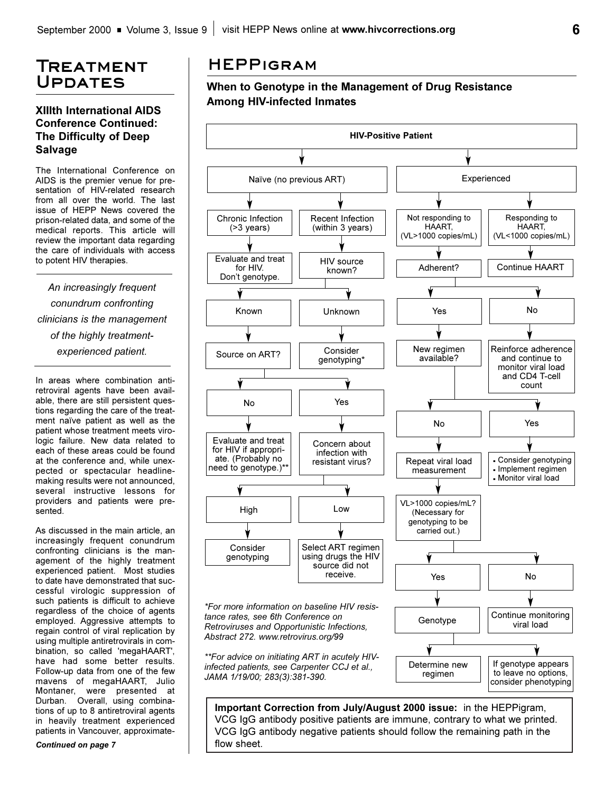# **Treatment Updates**

## **XIIIth International AIDS Conference Continued: The Difficulty of Deep Salvage**

The International Conference on AIDS is the premier venue for presentation of HIV-related research from all over the world. The last issue of HEPP News covered the prison-related data, and some of the medical reports. This article will review the important data regarding the care of individuals with access to potent HIV therapies.

*An increasingly frequent conundrum confronting clinicians is the management of the highly treatmentexperienced patient.*

In areas where combination antiretroviral agents have been available, there are still persistent questions regarding the care of the treatment naïve patient as well as the patient whose treatment meets virologic failure. New data related to each of these areas could be found at the conference and, while unexpected or spectacular headlinemaking results were not announced, several instructive lessons for providers and patients were presented.

As discussed in the main article, an increasingly frequent conundrum confronting clinicians is the management of the highly treatment experienced patient. Most studies to date have demonstrated that successful virologic suppression of such patients is difficult to achieve regardless of the choice of agents employed. Aggressive attempts to regain control of viral replication by using multiple antiretrovirals in combination, so called 'megaHAART', have had some better results. Follow-up data from one of the few mavens of megaHAART, Julio Montaner, were presented at Durban. Overall, using combinations of up to 8 antiretroviral agents in heavily treatment experienced patients in Vancouver, approximate-

*Continued on page 7*

# **HEPPigram**

## **When to Genotype in the Management of Drug Resistance Among HIV-infected Inmates**



VCG IgG antibody positive patients are immune, contrary to what we printed. VCG IgG antibody negative patients should follow the remaining path in the flow sheet.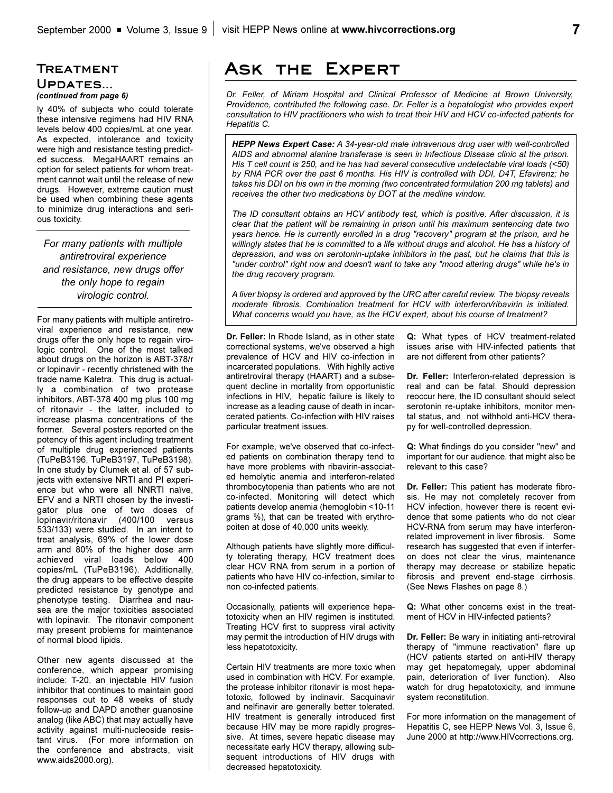### **Treatment Updates...**  *(continued from page 6)*

ly 40% of subjects who could tolerate these intensive regimens had HIV RNA levels below 400 copies/mL at one year. As expected, intolerance and toxicity were high and resistance testing predicted success. MegaHAART remains an option for select patients for whom treatment cannot wait until the release of new drugs. However, extreme caution must be used when combining these agents to minimize drug interactions and serious toxicity.

*For many patients with multiple antiretroviral experience and resistance, new drugs offer the only hope to regain virologic control.*

For many patients with multiple antiretroviral experience and resistance, new drugs offer the only hope to regain virologic control. One of the most talked about drugs on the horizon is ABT-378/r or lopinavir - recently christened with the trade name Kaletra. This drug is actually a combination of two protease inhibitors, ABT-378 400 mg plus 100 mg of ritonavir - the latter, included to increase plasma concentrations of the former. Several posters reported on the potency of this agent including treatment of multiple drug experienced patients (TuPeB3196, TuPeB3197, TuPeB3198). In one study by Clumek et al. of 57 subjects with extensive NRTI and PI experience but who were all NNRTI naïve, EFV and a NRTI chosen by the investigator plus one of two doses of lopinavir/ritonavir (400/100 versus 533/133) were studied. In an intent to treat analysis, 69% of the lower dose arm and 80% of the higher dose arm achieved viral loads below 400 copies/mL (TuPeB3196). Additionally, the drug appears to be effective despite predicted resistance by genotype and phenotype testing. Diarrhea and nausea are the major toxicities associated with lopinavir. The ritonavir component may present problems for maintenance of normal blood lipids.

Other new agents discussed at the conference, which appear promising include: T-20, an injectable HIV fusion inhibitor that continues to maintain good responses out to 48 weeks of study follow-up and DAPD another guanosine analog (like ABC) that may actually have activity against multi-nucleoside resistant virus. (For more information on the conference and abstracts, visit www.aids2000.org).

# **Ask the Expert**

*Dr. Feller, of Miriam Hospital and Clinical Professor of Medicine at Brown University, Providence, contributed the following case. Dr. Feller is a hepatologist who provides expert consultation to HIV practitioners who wish to treat their HIV and HCV co-infected patients for Hepatitis C.*

*HEPP News Expert Case: A 34-year-old male intravenous drug user with well-controlled AIDS and abnormal alanine transferase is seen in Infectious Disease clinic at the prison. His T cell count is 250, and he has had several consecutive undetectable viral loads (<50) by RNA PCR over the past 6 months. His HIV is controlled with DDI, D4T, Efavirenz; he takes his DDI on his own in the morning (two concentrated formulation 200 mg tablets) and receives the other two medications by DOT at the medline window.* 

*The ID consultant obtains an HCV antibody test, which is positive. After discussion, it is clear that the patient will be remaining in prison until his maximum sentencing date two years hence. He is currently enrolled in a drug "recovery" program at the prison, and he willingly states that he is committed to a life without drugs and alcohol. He has a history of depression, and was on serotonin-uptake inhibitors in the past, but he claims that this is "under control" right now and doesn't want to take any "mood altering drugs" while he's in the drug recovery program.*

*A liver biopsy is ordered and approved by the URC after careful review. The biopsy reveals moderate fibrosis. Combination treatment for HCV with interferon/ribavirin is initiated. What concerns would you have, as the HCV expert, about his course of treatment?*

**Dr. Feller:** In Rhode Island, as in other state correctional systems, we've observed a high prevalence of HCV and HIV co-infection in incarcerated populations. With highlly active antiretroviral therapy (HAART) and a subsequent decline in mortality from opportunistic infections in HIV, hepatic failure is likely to increase as a leading cause of death in incarcerated patients. Co-infection with HIV raises particular treatment issues.

For example, we've observed that co-infected patients on combination therapy tend to have more problems with ribavirin-associated hemolytic anemia and interferon-related thrombocytopenia than patients who are not co-infected. Monitoring will detect which patients develop anemia (hemoglobin <10-11 grams %), that can be treated with erythropoiten at dose of 40,000 units weekly.

Although patients have slightly more difficulty tolerating therapy, HCV treatment does clear HCV RNA from serum in a portion of patients who have HIV co-infection, similar to non co-infected patients.

Occasionally, patients will experience hepatotoxicity when an HIV regimen is instituted. Treating HCV first to suppress viral activity may permit the introduction of HIV drugs with less hepatotoxicity.

Certain HIV treatments are more toxic when used in combination with HCV. For example, the protease inhibitor ritonavir is most hepatotoxic, followed by indinavir. Sacquinavir and nelfinavir are generally better tolerated. HIV treatment is generally introduced first because HIV may be more rapidly progressive. At times, severe hepatic disease may necessitate early HCV therapy, allowing subsequent introductions of HIV drugs with decreased hepatotoxicity.

**Q:** What types of HCV treatment-related issues arise with HIV-infected patients that are not different from other patients?

**Dr. Feller:** Interferon-related depression is real and can be fatal. Should depression reoccur here, the ID consultant should select serotonin re-uptake inhibitors, monitor mental status, and not withhold anti-HCV therapy for well-controlled depression.

**Q:** What findings do you consider "new" and important for our audience, that might also be relevant to this case?

**Dr. Feller:** This patient has moderate fibrosis. He may not completely recover from HCV infection, however there is recent evidence that some patients who do not clear HCV-RNA from serum may have interferonrelated improvement in liver fibrosis. Some research has suggested that even if interferon does not clear the virus, maintenance therapy may decrease or stabilize hepatic fibrosis and prevent end-stage cirrhosis. (See News Flashes on page 8.)

**Q:** What other concerns exist in the treatment of HCV in HIV-infected patients?

**Dr. Feller:** Be wary in initiating anti-retroviral therapy of "immune reactivation" flare up (HCV patients started on anti-HIV therapy may get hepatomegaly, upper abdominal pain, deterioration of liver function). Also watch for drug hepatotoxicity, and immune system reconstitution.

For more information on the management of Hepatitis C, see HEPP News Vol. 3, Issue 6, June 2000 at http://www.HIVcorrections.org.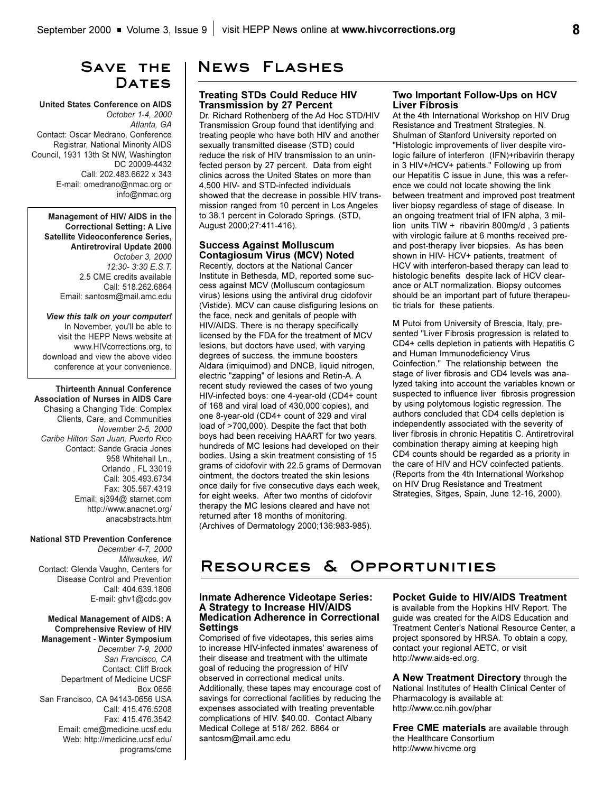# **Save the**  DATES

#### **United States Conference on AIDS**  *October 1-4, 2000 Atlanta, GA* Contact: Oscar Medrano, Conference Registrar, National Minority AIDS Council, 1931 13th St NW, Washington DC 20009-4432 Call: 202.483.6622 x 343 E-mail: omedrano@nmac.org or info@nmac.org

**Management of HIV/ AIDS in the Correctional Setting: A Live Satellite Videoconference Series, Antiretroviral Update 2000** *October 3, 2000 12:30- 3:30 E.S.T.* 2.5 CME credits available Call: 518.262.6864 Email: santosm@mail.amc.edu

*View this talk on your computer!*  In November, you'll be able to visit the HEPP News website at www.HIVcorrections.org, to download and view the above video conference at your convenience.

**Thirteenth Annual Conference Association of Nurses in AIDS Care** Chasing a Changing Tide: Complex Clients, Care, and Communities *November 2-5, 2000 Caribe Hilton San Juan, Puerto Rico* Contact: Sande Gracia Jones 958 Whitehall Ln., Orlando , FL 33019 Call: 305.493.6734 Fax: 305.567.4319 Email: sj394@ starnet.com http://www.anacnet.org/ anacabstracts.htm

#### **National STD Prevention Conference**

*December 4-7, 2000 Milwaukee, WI*  Contact: Glenda Vaughn, Centers for Disease Control and Prevention Call: 404.639.1806 E-mail: ghv1@cdc.gov

#### **Medical Management of AIDS: A Comprehensive Review of HIV Management - Winter Symposium**

*December 7-9, 2000 San Francisco, CA* Contact: Cliff Brock Department of Medicine UCSF Box 0656 San Francisco, CA 94143-0656 USA Call: 415.476.5208 Fax: 415.476.3542 Email: cme@medicine.ucsf.edu Web: http://medicine.ucsf.edu/ programs/cme

# **News Flashes**

#### **Treating STDs Could Reduce HIV Transmission by 27 Percent**

Dr. Richard Rothenberg of the Ad Hoc STD/HIV Transmission Group found that identifying and treating people who have both HIV and another sexually transmitted disease (STD) could reduce the risk of HIV transmission to an uninfected person by 27 percent. Data from eight clinics across the United States on more than 4,500 HIV- and STD-infected individuals showed that the decrease in possible HIV transmission ranged from 10 percent in Los Angeles to 38.1 percent in Colorado Springs. (STD, August 2000;27:411-416).

### **Success Against Molluscum Contagiosum Virus (MCV) Noted**

Recently, doctors at the National Cancer Institute in Bethesda, MD, reported some success against MCV (Molluscum contagiosum virus) lesions using the antiviral drug cidofovir (Vistide). MCV can cause disfiguring lesions on the face, neck and genitals of people with HIV/AIDS. There is no therapy specifically licensed by the FDA for the treatment of MCV lesions, but doctors have used, with varying degrees of success, the immune boosters Aldara (imiquimod) and DNCB, liquid nitrogen, electric "zapping" of lesions and Retin-A. A recent study reviewed the cases of two young HIV-infected boys: one 4-year-old (CD4+ count of 168 and viral load of 430,000 copies), and one 8-year-old (CD4+ count of 329 and viral load of >700,000). Despite the fact that both boys had been receiving HAART for two years, hundreds of MC lesions had developed on their bodies. Using a skin treatment consisting of 15 grams of cidofovir with 22.5 grams of Dermovan ointment, the doctors treated the skin lesions once daily for five consecutive days each week, for eight weeks. After two months of cidofovir therapy the MC lesions cleared and have not returned after 18 months of monitoring. (Archives of Dermatology 2000;136:983-985).

### **Two Important Follow-Ups on HCV Liver Fibrosis**

At the 4th International Workshop on HIV Drug Resistance and Treatment Strategies, N. Shulman of Stanford University reported on "Histologic improvements of liver despite virologic failure of interferon (IFN)+ribavirin therapy in 3 HIV+/HCV+ patients." Following up from our Hepatitis C issue in June, this was a reference we could not locate showing the link between treatment and improved post treatment liver biopsy regardless of stage of disease. In an ongoing treatment trial of IFN alpha, 3 million units TIW + ribavirin 800mg/d , 3 patients with virologic failure at 6 months received preand post-therapy liver biopsies. As has been shown in HIV- HCV+ patients, treatment of HCV with interferon-based therapy can lead to histologic benefits despite lack of HCV clearance or ALT normalization. Biopsy outcomes should be an important part of future therapeutic trials for these patients.

M Putoi from University of Brescia, Italy, presented "Liver Fibrosis progression is related to CD4+ cells depletion in patients with Hepatitis C and Human Immunodeficiency Virus Coinfection." The relationship between the stage of liver fibrosis and CD4 levels was analyzed taking into account the variables known or suspected to influence liver fibrosis progression by using polytomous logistic regression. The authors concluded that CD4 cells depletion is independently associated with the severity of liver fibrosis in chronic Hepatitis C. Antiretroviral combination therapy aiming at keeping high CD4 counts should be regarded as a priority in the care of HIV and HCV coinfected patients. (Reports from the 4th International Workshop on HIV Drug Resistance and Treatment Strategies, Sitges, Spain, June 12-16, 2000).

# **Resources & Opportunities**

### **Inmate Adherence Videotape Series: A Strategy to Increase HIV/AIDS Medication Adherence in Correctional Settings**

Comprised of five videotapes, this series aims to increase HIV-infected inmates' awareness of their disease and treatment with the ultimate goal of reducing the progression of HIV observed in correctional medical units. Additionally, these tapes may encourage cost of savings for correctional facilities by reducing the expenses associated with treating preventable complications of HIV. \$40.00. Contact Albany Medical College at 518/ 262. 6864 or santosm@mail.amc.edu

### **Pocket Guide to HIV/AIDS Treatment**

is available from the Hopkins HIV Report. The guide was created for the AIDS Education and Treatment Center's National Resource Center, a project sponsored by HRSA. To obtain a copy, contact your regional AETC, or visit http://www.aids-ed.org.

**A New Treatment Directory** through the National Institutes of Health Clinical Center of Pharmacology is available at: http://www.cc.nih.gov/phar

**Free CME materials** are available through the Healthcare Consortium http://www.hivcme.org